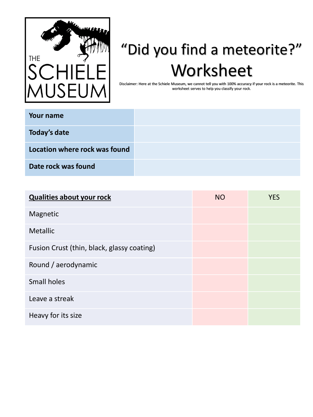

## "Did you find a meteorite?" Worksheet

Disclaimer: Here at the Schiele Museum, we cannot tell you with 100% accuracy if your rock is a meteorite. This worksheet serves to help you classify your rock.

| Your name                     |  |
|-------------------------------|--|
| Today's date                  |  |
| Location where rock was found |  |
| Date rock was found           |  |

| <b>Qualities about your rock</b>           | <b>NO</b> | <b>YES</b> |
|--------------------------------------------|-----------|------------|
| Magnetic                                   |           |            |
| Metallic                                   |           |            |
| Fusion Crust (thin, black, glassy coating) |           |            |
| Round / aerodynamic                        |           |            |
| Small holes                                |           |            |
| Leave a streak                             |           |            |
| Heavy for its size                         |           |            |